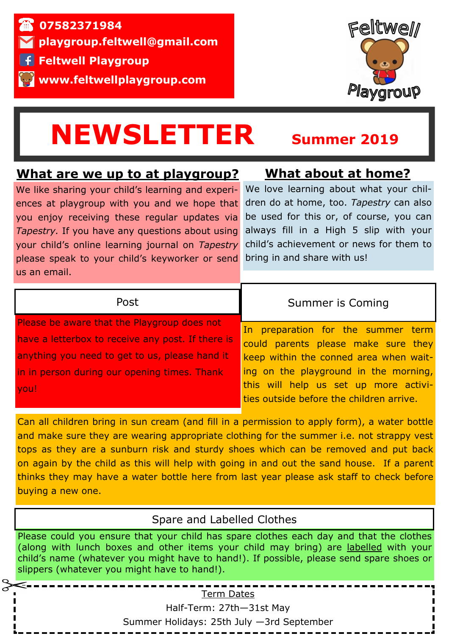



# **NEWSLETTER Summer 2019**

### **What are we up to at playgroup?**

We like sharing your child's learning and experiences at playgroup with you and we hope that you enjoy receiving these regular updates via *Tapestry.* If you have any questions about using your child's online learning journal on *Tapestry*  please speak to your child's keyworker or send us an email.

# **What about at home?**

We love learning about what your children do at home, too. *Tapestry* can also be used for this or, of course, you can always fill in a High 5 slip with your child's achievement or news for them to bring in and share with us!

#### Post

Please be aware that the Playgroup does not have a letterbox to receive any post. If there is anything you need to get to us, please hand it in in person during our opening times. Thank you!

#### Summer is Coming

In preparation for the summer term could parents please make sure they keep within the conned area when waiting on the playground in the morning, this will help us set up more activities outside before the children arrive.

Can all children bring in sun cream (and fill in a permission to apply form), a water bottle and make sure they are wearing appropriate clothing for the summer i.e. not strappy vest tops as they are a sunburn risk and sturdy shoes which can be removed and put back on again by the child as this will help with going in and out the sand house. If a parent thinks they may have a water bottle here from last year please ask staff to check before buying a new one.

#### Spare and Labelled Clothes

Please could you ensure that your child has spare clothes each day and that the clothes (along with lunch boxes and other items your child may bring) are labelled with your child's name (whatever you might have to hand!). If possible, please send spare shoes or slippers (whatever you might have to hand!).

Term Dates

Half-Term: 27th—31st May Summer Holidays: 25th July —3rd September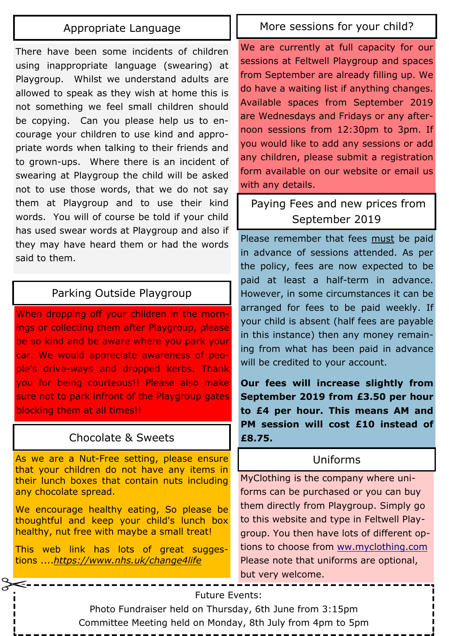#### Appropriate Language

There have been some incidents of children using inappropriate language (swearing) at Playgroup. Whilst we understand adults are allowed to speak as they wish at home this is not something we feel small children should be copying. Can you please help us to encourage your children to use kind and appropriate words when talking to their friends and to grown-ups. Where there is an incident of swearing at Playgroup the child will be asked not to use those words, that we do not say them at Playgroup and to use their kind words. You will of course be told if your child has used swear words at Playgroup and also if they may have heard them or had the words said to them.

#### Parking Outside Playgroup

When dropping off your children in the mornings or collecting them after Playgroup, please be so kind and be aware where you park your car. We would appreciate awareness of people's drive-ways and dropped kerbs. Thank you for being courteous!! Please also make sure not to park infront of the Playgroup gates blocking them at all times!!

#### Chocolate & Sweets

As we are a Nut-Free setting, please ensure that your children do not have any items in their lunch boxes that contain nuts including any chocolate spread.

We encourage healthy eating, So please be thoughtful and keep your child's lunch box healthy, nut free with maybe a small treat!

This web link has lots of great suggestions ....*https://www.nhs.uk/change4life*

#### More sessions for your child?

We are currently at full capacity for our sessions at Feltwell Playgroup and spaces from September are already filling up. We do have a waiting list if anything changes. Available spaces from September 2019 are Wednesdays and Fridays or any afternoon sessions from 12:30pm to 3pm. If you would like to add any sessions or add any children, please submit a registration form available on our website or email us with any details.

 Paying Fees and new prices from September 2019

Please remember that fees must be paid in advance of sessions attended. As per the policy, fees are now expected to be paid at least a half-term in advance. However, in some circumstances it can be arranged for fees to be paid weekly. If your child is absent (half fees are payable in this instance) then any money remaining from what has been paid in advance will be credited to your account.

**Our fees will increase slightly from September 2019 from £3.50 per hour to £4 per hour. This means AM and PM session will cost £10 instead of £8.75.** 

#### Uniforms

MyClothing is the company where uniforms can be purchased or you can buy them directly from Playgroup. Simply go to this website and type in Feltwell Playgroup. You then have lots of different options to choose from ww.myclothing.com Please note that uniforms are optional, but very welcome.

#### Future Events:

Photo Fundraiser held on Thursday, 6th June from 3:15pm

#### Committee Meeting held on Monday, 8th July from 4pm to 5pm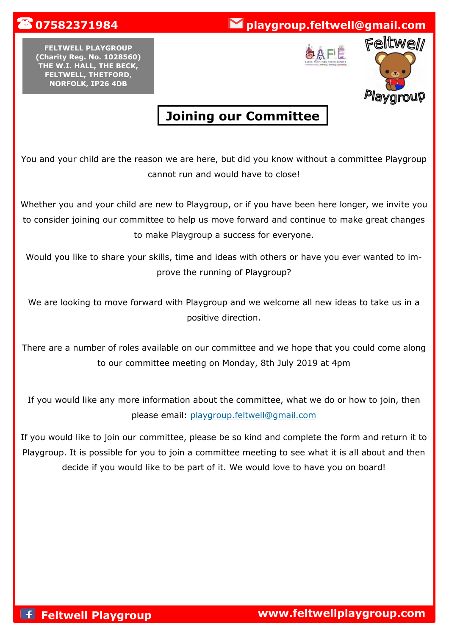## **1** 07582371984 **playgroup.feltwell@gmail.com**

**FELTWELL PLAYGROUP (Charity Reg. No. 1028560) THE W.I. HALL, THE BECK, FELTWELL, THETFORD, NORFOLK, IP26 4DB** 





# **Joining our Committee**

You and your child are the reason we are here, but did you know without a committee Playgroup cannot run and would have to close!

Whether you and your child are new to Playgroup, or if you have been here longer, we invite you to consider joining our committee to help us move forward and continue to make great changes to make Playgroup a success for everyone.

Would you like to share your skills, time and ideas with others or have you ever wanted to improve the running of Playgroup?

We are looking to move forward with Playgroup and we welcome all new ideas to take us in a positive direction.

There are a number of roles available on our committee and we hope that you could come along to our committee meeting on Monday, 8th July 2019 at 4pm

If you would like any more information about the committee, what we do or how to join, then please email: playgroup.feltwell@gmail.com

If you would like to join our committee, please be so kind and complete the form and return it to Playgroup. It is possible for you to join a committee meeting to see what it is all about and then decide if you would like to be part of it. We would love to have you on board!